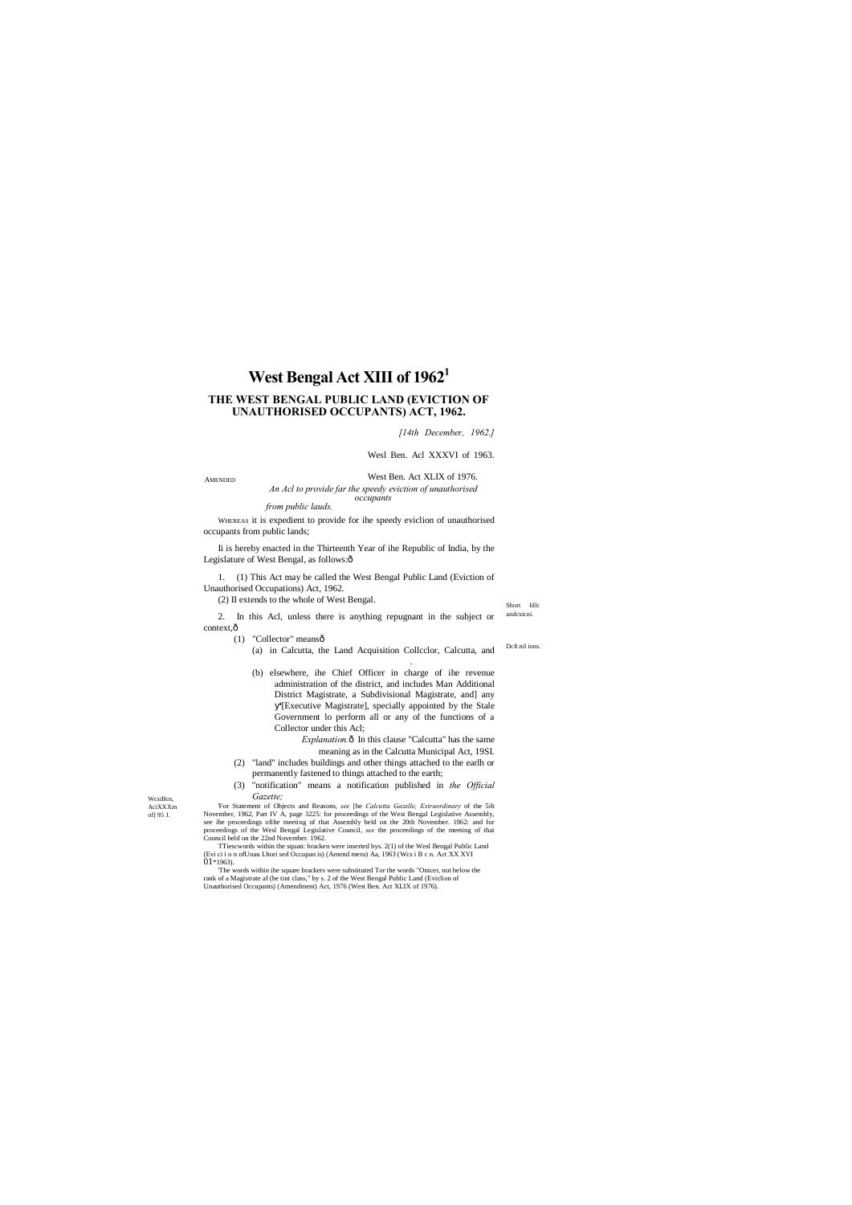Short lillc andcxicni.

WcsiBcn, AciXXXm of] 95 J.

# **West Bengal Act XIII of 19621**

# **THE WEST BENGAL PUBLIC LAND (EVICTION OF UNAUTHORISED OCCUPANTS) ACT, 1962.**

AMENDED West Ben. Act XLIX of 1976. *An Acl to provide far the speedy eviction of unauthorised* 

*[14th December, 1962.]* 

Wesl Ben. Acl XXXVI of 1963.

Ii is hereby enacted in the Thirteenth Year of ihe Republic of India, by the Legislature of West Bengal, as follows:ô

*occupants*

*from public lauds.*

2. In this Acl, unless there is anything repugnant in the subject or context, $\hat{o}$ 

(1) "Collector" meansô

WHEREAS it is expedient to provide for ihe speedy eviclion of unauthorised occupants from public lands;

- Dcfi nil ions. (a) in Calcutta, the Land Acquisition Collcclor, Calcutta, and .
- (b) elsewhere, ihe Chief Officer in charge of ihe revenue administration of the district, and includes Man Additional District Magistrate, a Subdivisional Magistrate, and] any '[Executive Magistrate], specially appointed by the Stale Government lo perform all or any of the functions of a Collector under this Acl;

1. (1) This Act may be called the West Bengal Public Land (Eviction of Unauthorised Occupations) Act, 1962.

> *Explanation.* $\hat{o}$  In this clause "Calcutta" has the same meaning as in the Calcutta Municipal Act, 19SI.

(2) II extends to the whole of West Bengal.

TTiescwords within the squan: bracken were inserted bys. 2(1) of the Wesl Bengal Public Land (Evi ci i o n ofUnau Lhori sed Occupan is) (Amend meru) Aa, 1963 (Wcs i B c n. Act XX XVI  $01*1963$ .

- (2) "land" includes buildings and other things attached to the earlh or permanently fastened to things attached to the earth;
- (3) "notification" means a notification published in *the Official Gazette;*

'For Statement of Objects and Reasons, *see* [he *Calcutta Gazelle, Extraordinary* of the 5ih November, 1962, Part IV A, page 3225: for proceedings of the West Bengal Legislative Assembly, see ihe proceedings ofihe meeting of that Assembly held on the 20th November. 1962: and for proceedings of the Wesl Bengal Legislative Council, *see* the proceedings of the meeting of thai Council held on the 22nd November. 1962.

'The words within ihe square brackets were substituted Tor the words "Onicer, not below the rank of a Magistrate af (he tint class," by s. 2 of the West Bengal Public Land (Eviclion of Unauthorised Occupants) (Amendment) Act, 1976 (West Ben. Act XLIX of 1976).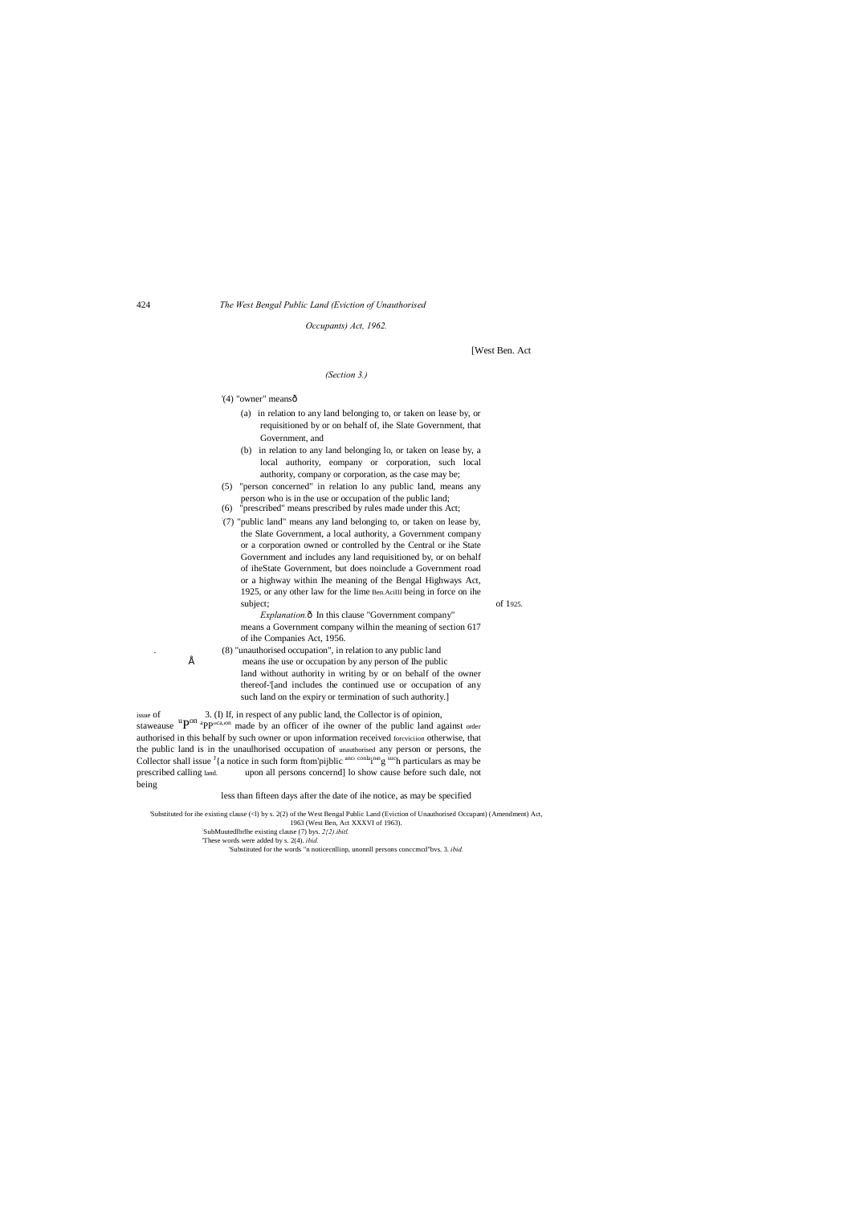424 *The West Bengal Public Land (Eviction of Unauthorised*

- (a) in relation to any land belonging to, or taken on lease by, or requisitioned by or on behalf of, ihe Slate Government, that Government, and
- (b) in relation to any land belonging lo, or taken on lease by, a local authority, eompany or corporation, such local authority, company or corporation, as the case may be;
- (5) "person concerned" in relation lo any public land, means any person who is in the use or occupation of the public land;
- (6) "prescribed" means prescribed by rules made under this Act;
- : (7) "public land" means any land belonging to, or taken on lease by, the Slate Government, a local authority, a Government company or a corporation owned or controlled by the Central or ihe State Government and includes any land requisitioned by, or on behalf of iheState Government, but does noinclude a Government road or a highway within Ihe meaning of the Bengal Highways Act, 1925, or any other law for the lime Ben.AciIII being in force on ihe subject; of 1925.

*Occupants) Act, 1962.*

[West Ben. Act

#### *(Section 3.)*

'(4) "owner" meansô

*Explanation.* $\hat{o}$  In this clause "Government company" means a Government company wilhin the meaning of section 617 of ihe Companies Act, 1956.

. (8) "unauthorised occupation", in relation to any public land means ihe use or occupation by any person of Ihe public land without authority in writing by or on behalf of the owner thereof-'[and includes the continued use or occupation of any such land on the expiry or termination of such authority.]

issue of 3. (I) If, in respect of any public land, the Collector is of opinion, staweause  ${}^uP^{on}$   ${}^{\text{appr}(z_1, o_1)}$  made by an officer of ihe owner of the public land against order authorised in this behalf by such owner or upon information received forcviciion otherwise, that the public land is in the unaulhorised occupation of unauthorised any person or persons, the Collector shall issue  $\frac{1}{4}$  a notice in such form ftom'pijblic <sup>anc<sub>'</sub> conla<sub>i</sub>n<sub>n</sub><sup>n</sup>g such particulars as may be</sup> prescribed calling land. upon all persons concernd] lo show cause before such dale, not being

#### less than fifteen days after the date of ihe notice, as may be specified

'Substituted for ihe existing clause (<l) by s. 2(2) of the West Bengal Public Land (Eviction of Unauthorised Occupant) (Amendment) Act, 1963 (West Ben, Act XXXVI of 1963).

'These words were added by s. 2(4). *ibid.*

'Substituted for the words "n noticecnllinp, unonnll persons conccmcd"bvs. 3. *ibid.*

<sup>:</sup> SubMuutedlbrlhe existing clause (7) bys. *2{2).ibitl.*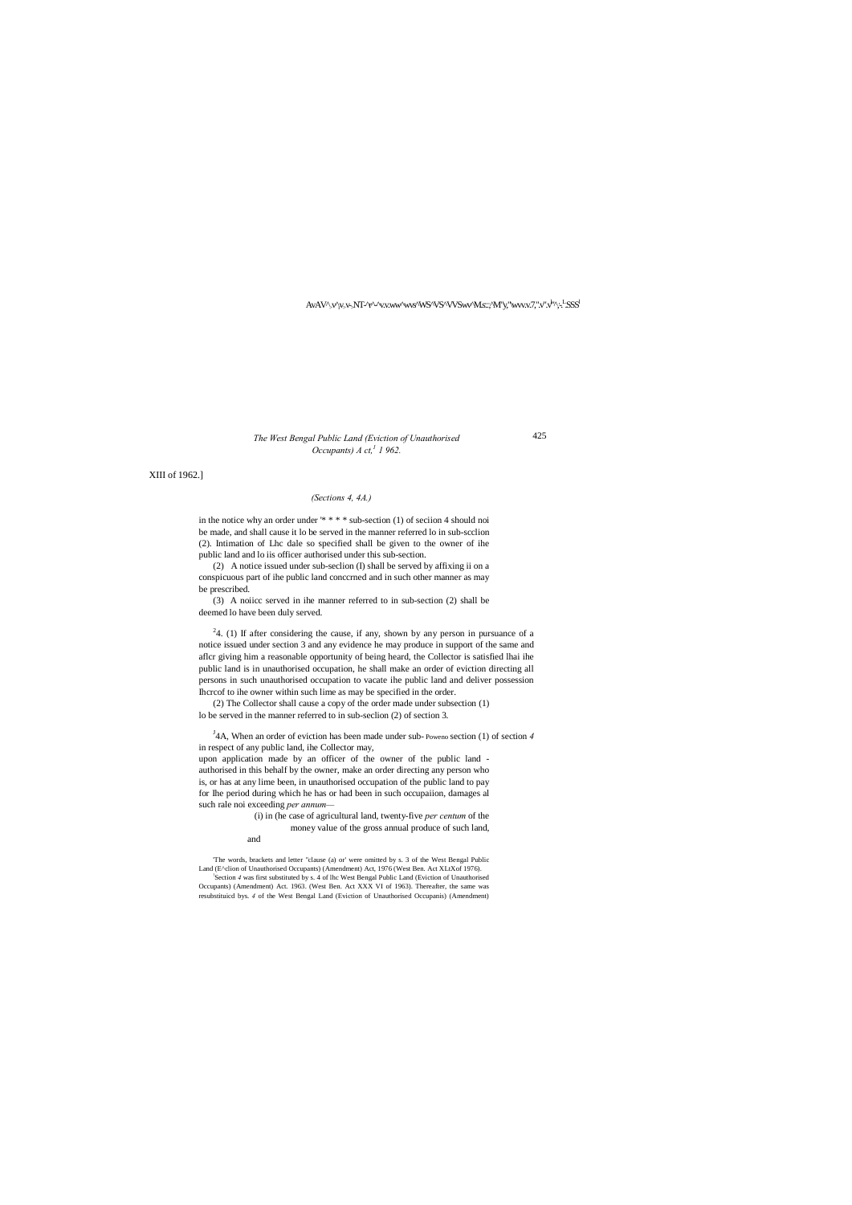425

AvAV^<sub>></sub>v^<sub>r</sub>y,v<sub>`</sub>NT-^r^^v.v.ww^wvs^WS^VS^VVSwv^M.s.::^M"y,"\wvv.v.7,".v".v<sup>1</sup>'^;-<sup>. L</sup>SSS<sup>l</sup>

# *The West Bengal Public Land (Eviction of Unauthorised Occupants) A ct*,<sup>1</sup> *1* 962.

XIII of 1962.]

## *(Sections 4, 4A.)*

in the notice why an order under '\* \* \* \* sub-section (1) of seciion 4 should noi be made, and shall cause it lo be served in the manner referred lo in sub-scclion (2). Intimation of Lhc dale so specified shall be given to the owner of ihe public land and lo iis officer authorised under this sub-section.

(2) A notice issued under sub-seclion (I) shall be served by affixing ii on a conspicuous part of ihe public land conccrned and in such other manner as may be prescribed.

 $24.$  (1) If after considering the cause, if any, shown by any person in pursuance of a notice issued under section 3 and any evidence he may produce in support of the same and aflcr giving him a reasonable opportunity of being heard, the Collector is satisfied lhai ihe public land is in unauthorised occupation, he shall make an order of eviction directing all persons in such unauthorised occupation to vacate ihe public land and deliver possession Ihcrcof to ihe owner within such lime as may be specified in the order.

(3) A noiicc served in ihe manner referred to in sub-section (2) shall be deemed lo have been duly served.

<sup>J</sup>4A, When an order of eviction has been made under sub-Poweno section (1) of section 4 in respect of any public land, ihe Collector may,

(2) The Collector shall cause a copy of the order made under subsection (1) lo be served in the manner referred to in sub-seclion (2) of section 3.

upon application made by an officer of the owner of the public land authorised in this behalf by the owner, make an order directing any person who is, or has at any lime been, in unauthorised occupation of the public land to pay for Ihe period during which he has or had been in such occupaiion, damages al such rale noi exceeding *per annum—*

(i) in (he case of agricultural land, twenty-five *per centum* of the money value of the gross annual produce of such land,

and

'The words, brackets and letter "clause (a) or' were omitted by s. 3 of the West Bengal Public Land (E^clion of Unauthorised Occupants) (Amendment) Act, 1976 (West Ben. Act XLtXof 1976). ! Section *4* was first substituted by s. 4 of lhc West Bengal Public Land (Eviction of Unauthorised Occupants) (Amendment) Act. 1963. (West Ben. Act XXX VI of 1963). Thereafter, the same was resubstituicd bys. *4* of the West Bengal Land (Eviction of Unauthorised Occupanis) (Amendment)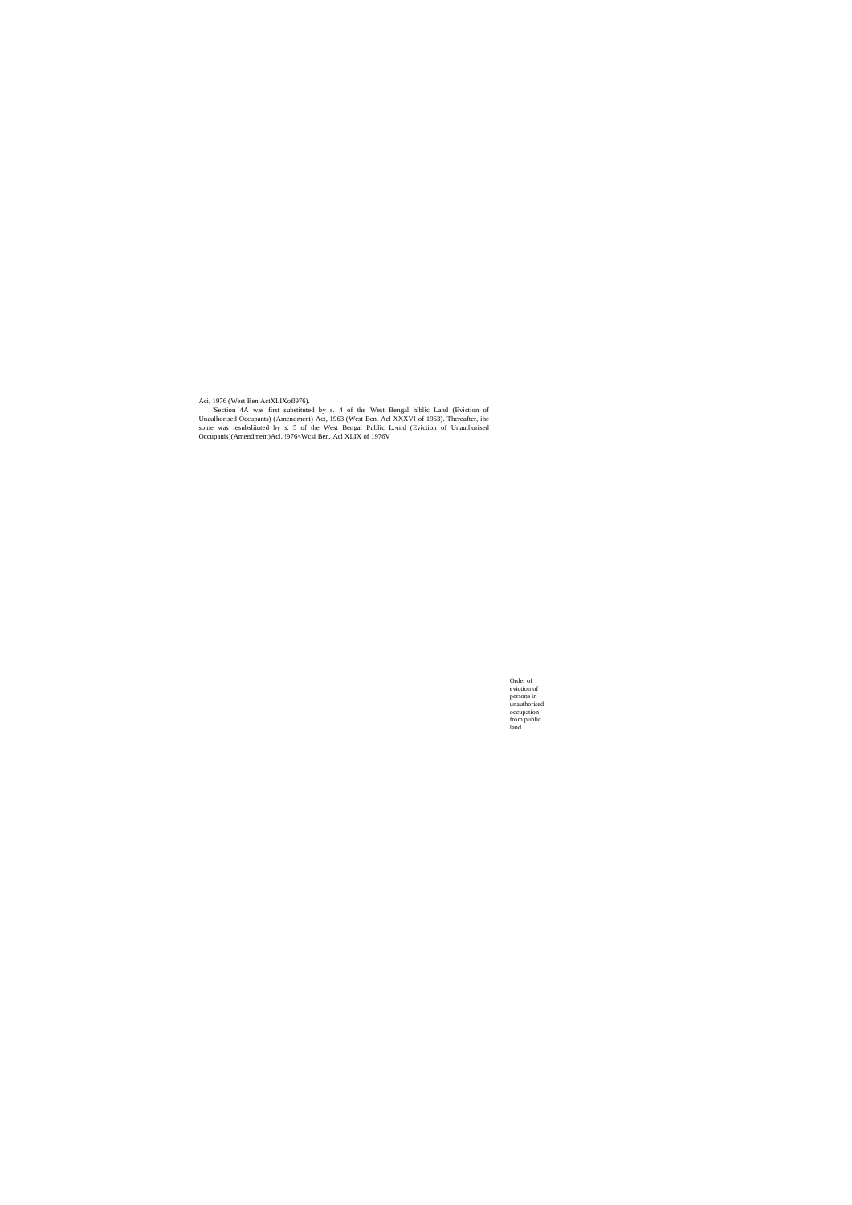Order of eviction of persons in unauthorised occupation from public land

Aci, 1976 (West Ben.ActXLIXofl976).

'Section 4A was first substituted by s. 4 of the West Bengal hiblic Land (Eviction of Unaulhorised Occupants) (Amendment) Act, 1963 (West Ben. Acl XXXVI of 1963). Thereafter, ihe some was resubsliiuted by s. 5 of the West Bengal Public L.-md (Eviction of Unauthorised Occupanis)(Amendment)Acl. !976<Wcsi Ben, Acl XLIX of 1976V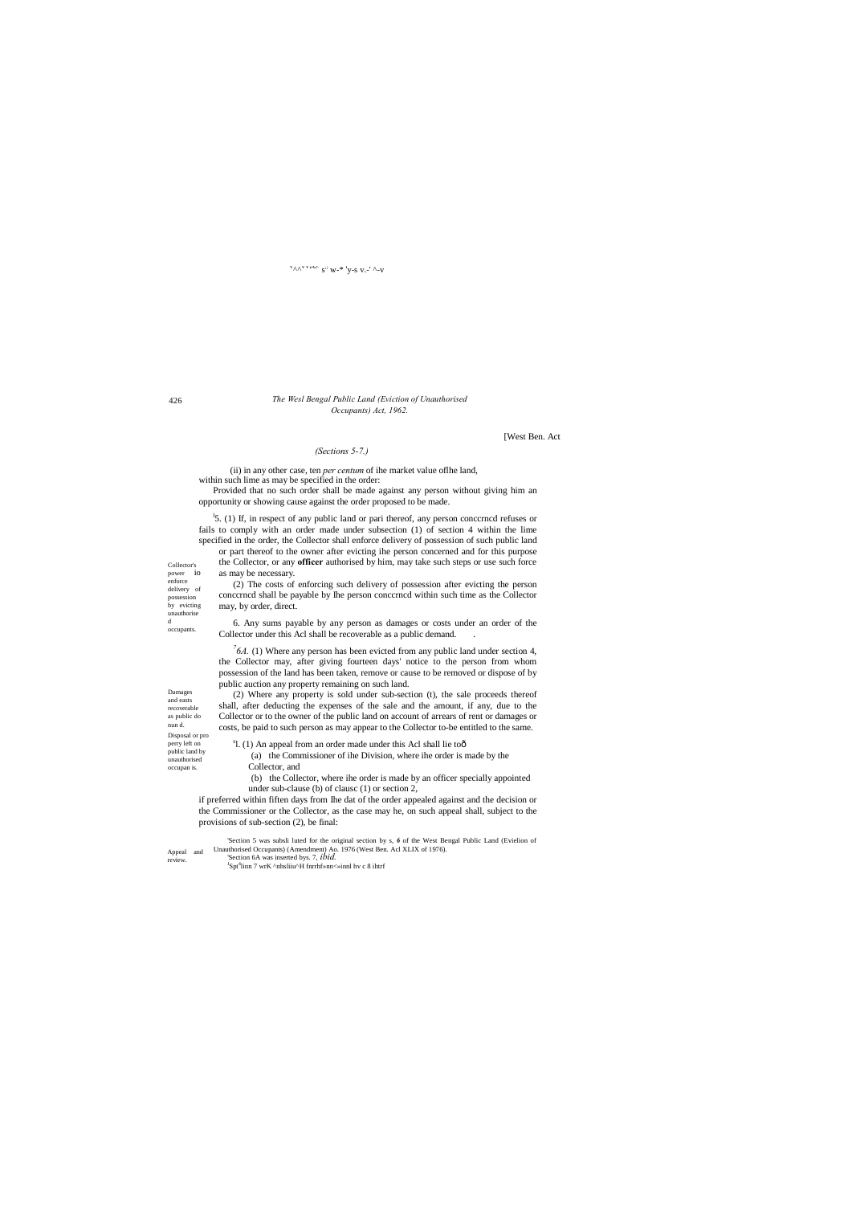Collector's power io enforce delivery of possession by evicting unauthorise d occupants.

Damages and easts recoverable as public do nun d. Disposal or pro perry left on public land by

unauthorised occupan is.

Appeal and review.

### $v_{\Lambda\Lambda}v_{\nu A K}$  s<sup>.;</sup> w-\*<sup>1</sup>y-s v.-' ^-v

426

# *The Wesl Bengal Public Land (Eviction of Unauthorised Occupants) Act, 1962.*

# [West Ben. Act

#### *(Sections 5-7.)*

(ii) in any other case, ten *per centum* of ihe market value oflhe land, within such lime as may be specified in the order:

<sup>1</sup>5. (1) If, in respect of any public land or pari thereof, any person conccrncd refuses or fails to comply with an order made under subsection (1) of section 4 within the lime specified in the order, the Collector shall enforce delivery of possession of such public land

Provided that no such order shall be made against any person without giving him an opportunity or showing cause against the order proposed to be made.

6. Any sums payable by any person as damages or costs under an order of the Collector under this Acl shall be recoverable as a public demand.

 $^{7}$ 6A. (1) Where any person has been evicted from any public land under section 4, the Collector may, after giving fourteen days' notice to the person from whom possession of the land has been taken, remove or cause to be removed or dispose of by public auction any property remaining on such land.

or part thereof to the owner after evicting ihe person concerned and for this purpose the Collector, or any **officer** authorised by him, may take such steps or use such force as may be necessary.

(2) The costs of enforcing such delivery of possession after evicting the person conccrncd shall be payable by Ihe person conccrncd within such time as the Collector may, by order, direct.

(2) Where any property is sold under sub-section (t), the sale proceeds thereof shall, after deducting the expenses of the sale and the amount, if any, due to the Collector or to the owner of the public land on account of arrears of rent or damages or costs, be paid to such person as may appear to the Collector to-be entitled to the same.

 $s<sup>1</sup>$ . (1) An appeal from an order made under this Acl shall lie too $\hat{o}$ 

(a) the Commissioner of ihe Division, where ihe order is made by the Collector, and

(b) the Collector, where ihe order is made by an officer specially appointed under sub-clause (b) of clausc (1) or section 2,

if preferred within fiften days from Ihe dat of the order appealed against and the decision or the Commissioner or the Collector, as the case may he, on such appeal shall, subject to the provisions of sub-section (2), be final:

'Section 5 was subsli luted for the original section by s, *6* of the West Bengal Public Land (Evielion of Unauthorised Occupants) (Amendment) Ao. 1976 (West Ben. Acl XLIX of 1976).

'Section 6A was inserted bys. 7, *ibid.* J Spt<sup>4</sup> linn 7 wrK ^nhsliiu^H fnrrhf»nn<»innl hv c 8 ihtrf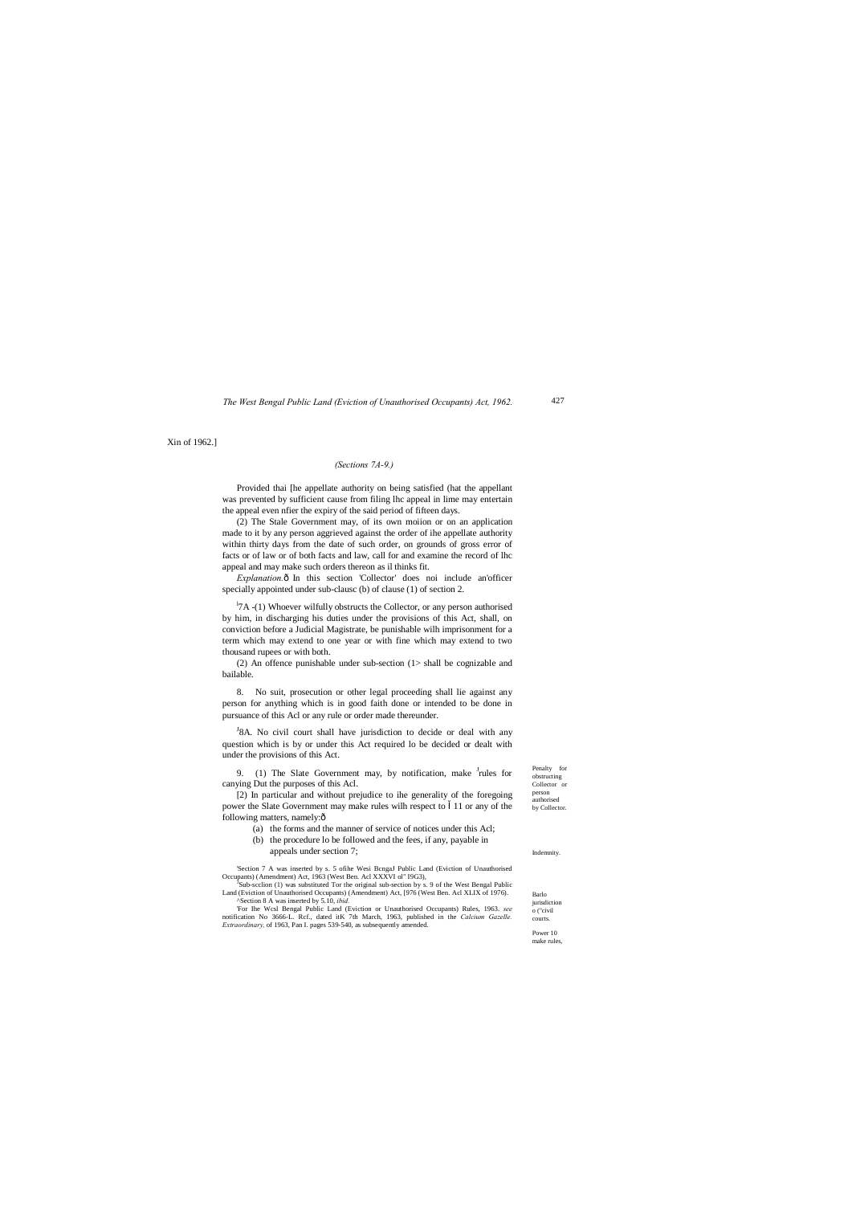427

Penalty for obstructing Collector or person authorised by Collector

**Indemnity** 

Barlo iurisdiction

> o ("civil courts.

Power 10 make rules,

### *The West Bengal Public Land (Eviction of Unauthorised Occupants) Act, 1962.*

Xin of 1962.]

#### *(Sections 7A-9.)*

Provided thai [he appellate authority on being satisfied (hat the appellant was prevented by sufficient cause from filing lhc appeal in lime may entertain the appeal even nfier the expiry of the said period of fifteen days.

*Explanation.* $\hat{\text{o}}$  In this section 'Collector' does noi include an'officer specially appointed under sub-clausc (b) of clause (1) of section 2.

<sup>1</sup>7A -(1) Whoever wilfully obstructs the Collector, or any person authorised by him, in discharging his duties under the provisions of this Act, shall, on conviction before a Judicial Magistrate, be punishable wilh imprisonment for a term which may extend to one year or with fine which may extend to two thousand rupees or with both.

(2) The Stale Government may, of its own moiion or on an application made to it by any person aggrieved against the order of ihe appellate authority within thirty days from the date of such order, on grounds of gross error of facts or of law or of both facts and law, call for and examine the record of lhc appeal and may make such orders thereon as il thinks fit.

<sup>J</sup>8A. No civil court shall have jurisdiction to decide or deal with any question which is by or under this Act required lo be decided or dealt with under the provisions of this Act.

9. (1) The Slate Government may, by notification, make <sup>J</sup>rules for canying Dut the purposes of this Acl.

[2) In particular and without prejudice to ihe generality of the foregoing power the Slate Government may make rules wilh respect to 11 or any of the following matters, namely: $\hat{o}$ 

'Section 7 A was inserted by s. 5 ofihe Wesi BcngaJ Public Land (Eviction of Unauthorised Occupants) (Amendment) Act, 1963 (West Ben. Acl XXXVI ol" I9G3),

- <sup>3</sup>Sub-scclion (1) was substituted Tor the original sub-section by s. 9 of the West Bengal Public Land (Eviction of Unauthorised Occupants) (Amendment) Act, [976 (West Ben. Acl XLIX of 1976). ^Section 8 A was inserted by 5.10, *ibid.*
- 

(2) An offence punishable under sub-section (1> shall be cognizable and bailable.

8. No suit, prosecution or other legal proceeding shall lie against any person for anything which is in good faith done or intended to be done in pursuance of this Acl or any rule or order made thereunder.

- (a) the forms and the manner of service of notices under this Acl;
- (b) the procedure lo be followed and the fees, if any, payable in appeals under section 7;

'For Ihe Wcsl Bengal Public Land (Eviction or Unauthorised Occupants) Rules, 1963. *see* notification No 3666-L. Rcf., dated itK 7th March, 1963, published in the *Calcium Gazelle. Extraordinary,* of 1963, Pan I. pages 539-540, as subsequently amended.